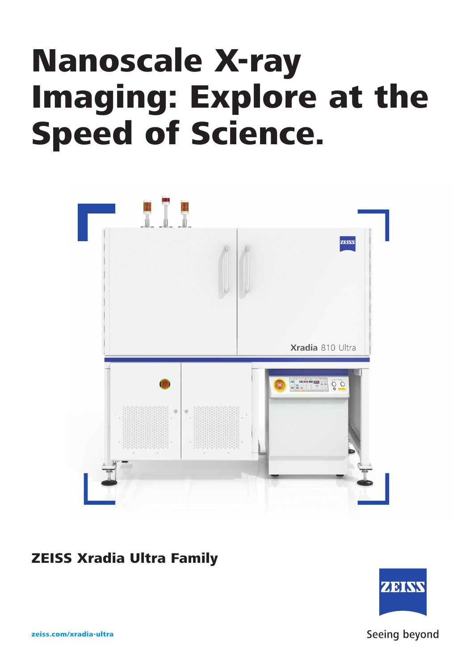# Nanoscale X-ray Imaging: Explore at the Speed of Science.



# ZEISS Xradia Ultra Family



zeiss.com/xradia-ultra

Seeing beyond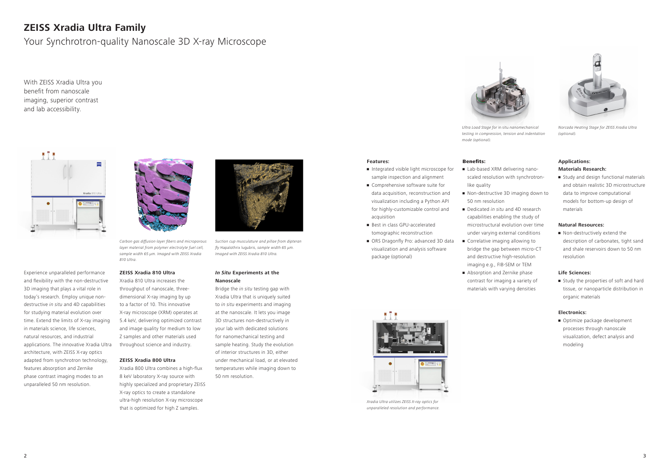#### 2

With ZEISS Xradia Ultra you benefit from nanoscale imaging, superior contrast and lab accessibility.



# **ZEISS Xradia Ultra Family**

Your Synchrotron-quality Nanoscale 3D X-ray Microscope



Carbon gas diffusion layer fibers and microporous layer material from polymer electrolyte fuel cell, sample width 65 µm. Imaged with ZEISS Xradia  $810$  Illtra

Experience unparalleled performance and flexibility with the non-destructive 3D imaging that plays a vital role in today's research. Employ unique nondestructive *in situ* and 4D capabilities for studying material evolution over time. Extend the limits of X-ray imaging in materials science, life sciences, natural resources, and industrial applications. The innovative Xradia Ultra architecture, with ZEISS X-ray optics adapted from synchrotron technology, features absorption and Zernike phase contrast imaging modes to an unparalleled 50 nm resolution.

#### **ZEISS Xradia 810 Ultra**

Xradia 810 Ultra increases the throughput of nanoscale, threedimensional X-ray imaging by up to a factor of 10. This innovative X-ray microscope (XRM) operates at 5.4 keV, delivering optimized contrast and image quality for medium to low Z samples and other materials used throughout science and industry.

#### **ZEISS Xradia 800 Ultra**

Xradia 800 Ultra combines a high-flux 8 keV laboratory X-ray source with highly specialized and proprietary ZEISS X-ray optics to create a standalone ultra-high resolution X-ray microscope that is optimized for high Z samples.

## *In Situ* **Experiments at the Nanoscale**

**•** Study and design functional materials and obtain realistic 3D microstructure data to improve computational models for bottom-up design of materials

• Non-destructively extend the description of carbonates, tight sand and shale reservoirs down to 50 nm resolution

**•** Study the properties of soft and hard tissue, or nanoparticle distribution in organic materials

Bridge the *in situ* testing gap with Xradia Ultra that is uniquely suited to *in situ* experiments and imaging at the nanoscale. It lets you image 3D structures non-destructively in your lab with dedicated solutions for nanomechanical testing and sample heating. Study the evolution of interior structures in 3D, either under mechanical load, or at elevated temperatures while imaging down to 50 nm resolution.

**• Optimize package development** processes through nanoscale visualization, defect analysis and modeling



Suction cup musculature and pillae from dipteran fly Hapalothrix lugubris, sample width 65  $\mu$ m. Imaged with ZEISS Xradia 810 Ultra.

#### **Features:**

- Integrated visible light microscope for sample inspection and alignment
- Comprehensive software suite for data acquisition, reconstruction and visualization including a Python API for highly-customizable control and acquisition
- **Best in class GPU-accelerated** tomographic reconstruction
- ORS Dragonfly Pro: advanced 3D data visualization and analysis software package (optional)

Benefits:

• Lab-based XRM delivering nanoscaled resolution with synchrotron-

like quality

• Non-destructive 3D imaging down to

50 nm resolution

• Dedicated *in situ* and 4D research capabilities enabling the study of microstructural evolution over time under varying external conditions **• Correlative imaging allowing to** bridge the gap between micro-CT and destructive high-resolution imaging e.g., FIB-SEM or TEM • Absorption and Zernike phase contrast for imaging a variety of materials with varying densities

# **Applications: Materials Research:**

# **Natural Resources:**

## **Life Sciences:**

## **Electronics:**



Xradia Ultra utilizes ZEISS X-ray optics for unparalleled resolution and performance.



Ultra Load Stage for in situ nanomechanical testing in compression, tension and indentation mode (optional).



Norcada Heating Stage for ZEISS Xradia Ultra (optional).